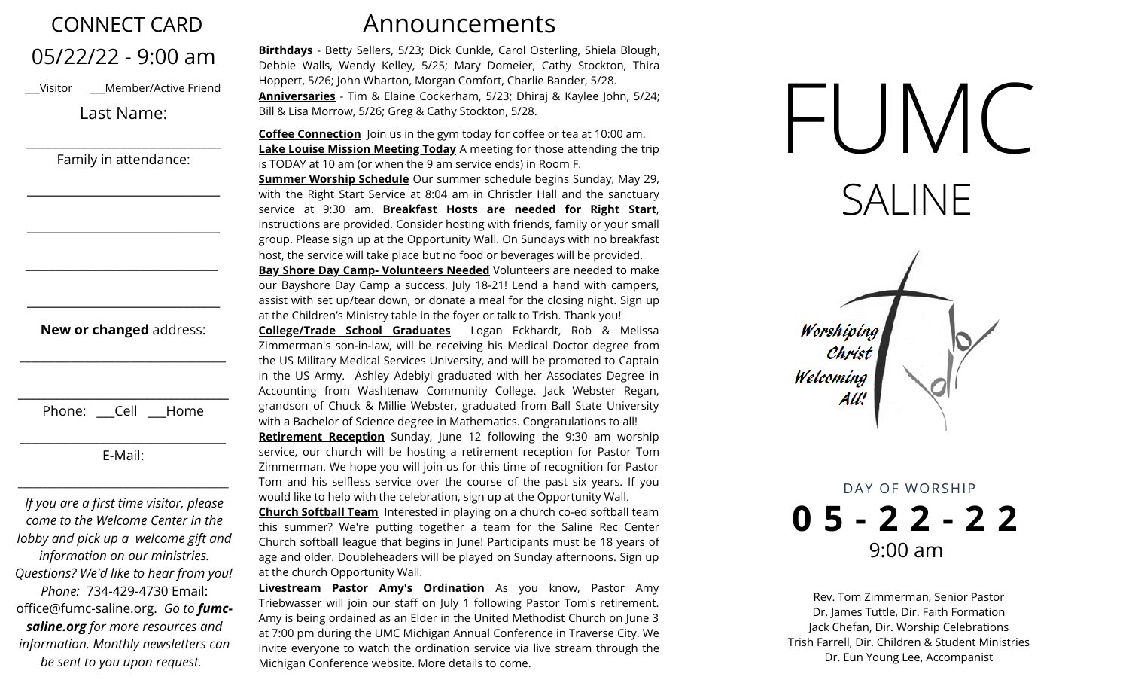| <b>CONNECT CARD</b>                                                                                                                                                                                                                                                                                            |                                                                                                                                                                 |
|----------------------------------------------------------------------------------------------------------------------------------------------------------------------------------------------------------------------------------------------------------------------------------------------------------------|-----------------------------------------------------------------------------------------------------------------------------------------------------------------|
| 05/22/22 - 9:00 am<br>Member/Active Friend<br>Visitor<br>Last Name:                                                                                                                                                                                                                                            | Birthdays -<br>Debbie Wall<br>Hoppert, 5/2<br><b>Anniversari</b><br>Bill & Lisa Mo                                                                              |
| Family in attendance:                                                                                                                                                                                                                                                                                          | <b>Coffee Conn</b><br><b>Lake Louise</b><br>is TODAY at<br><b>Summer Wo</b><br>with the Rig                                                                     |
|                                                                                                                                                                                                                                                                                                                | service at<br>instructions<br>group. Pleas<br>host, the ser<br><u>Bay Shore D</u><br>our Bayshor<br>assist with so                                              |
| New or changed address:                                                                                                                                                                                                                                                                                        | at the Childr<br>College/Tra<br>Zimmerman<br>the US Milita<br>in the US Ar<br>Accounting                                                                        |
| Phone: Cell<br>Home<br>E-Mail:                                                                                                                                                                                                                                                                                 | grandson of<br>with a Bache<br><b>Retirement</b><br>service, our                                                                                                |
| If you are a first time visitor, please                                                                                                                                                                                                                                                                        | Zimmerman<br>Tom and his<br>would like to                                                                                                                       |
| come to the Welcome Center in the<br>lobby and pick up a welcome gift and<br>information on our ministries.<br>Questions? We'd like to hear from you!<br>Phone: 734-429-4730 Email:<br>office@fumc-saline.org. Go to <b>fumc-</b><br>saline.org for more resources and<br>information. Monthly newsletters can | <b>Church Soft</b><br>this summe<br>Church softk<br>age and olde<br>at the church<br>Livestream<br>Triebwasser<br>Amy is being<br>at 7:00 pm d<br>invite everyc |

*be sent to you upon request.*

## Announcements

Betty Sellers, 5/23; Dick Cunkle, Carol Osterling, Shiela Blough, ls, Wendy Kelley, 5/25; Mary Domeier, Cathy Stockton, Thira 26; John Wharton, Morgan Comfort, Charlie Bander, 5/28. **Anniversaries** - Tim & Elaine Cockerham, 5/23; Dhiraj & Kaylee John, 5/24; orrow, 5/26; Greg & Cathy Stockton, 5/28.

**nection** Join us in the gym today for coffee or tea at 10:00 am. **Mission Meeting Today** A meeting for those attending the trip 10 am (or when the 9 am service ends) in Room F. **orship Schedule** Our summer schedule begins Sunday, May 29, tht Start Service at 8:04 am in Christler Hall and the sanctuary service at 9:30 am. **Breakfast Hosts are needed for Right Start**, are provided. Consider hosting with friends, family or your small e sign up at the Opportunity Wall. On Sundays with no breakfast vice will take place but no food or beverages will be provided.

**Bay Shore Day Camp- Volunteers Needed** Volunteers are needed to make re Day Camp a success, July 18-21! Lend a hand with campers, et up/tear down, or donate a meal for the closing night. Sign up en's Ministry table in the foyer or talk to Trish. Thank you!

**College/Trade School Graduates** Logan Eckhardt, Rob & Melissa 's son-in-law, will be receiving his Medical Doctor degree from ary Medical Services University, and will be promoted to Captain rmy. Ashley Adebiyi graduated with her Associates Degree in from Washtenaw Community College. Jack Webster Regan, Chuck & Millie Webster, graduated from Ball State University lor of Science degree in Mathematics. Congratulations to all! **Reception** Sunday, June 12 following the 9:30 am worship church will be hosting a retirement reception for Pastor Tom We hope you will join us for this time of recognition for Pastor s selfless service over the course of the past six years. If you help with the celebration, sign up at the Opportunity Wall.

**Chall Team** Interested in playing on a church co-ed softball team r? We're putting together a team for the Saline Rec Center ball league that begins in June! Participants must be 18 years of er. Doubleheaders will be played on Sunday afternoons. Sign up h Opportunity Wall.

**Pastor Amy's Ordination** As you know, Pastor Amy will join our staff on July 1 following Pastor Tom's retirement. ordained as an Elder in the United Methodist Church on June 3 luring the UMC Michigan Annual Conference in Traverse City. We one to watch the ordination service via live stream through the Michigan Conference website. More details to come.



DAY OF WORSHIP **0 5 - 2 2 - 2 2** 9:00 am

Welcoming

All:

Rev. Tom Zimmerman, Senior Pastor Dr. James Tuttle, Dir. Faith Formation Jack Chefan, Dir. Worship Celebrations Trish Farrell, Dir. Children & Student Ministries Dr. Eun Young Lee, Accompanist